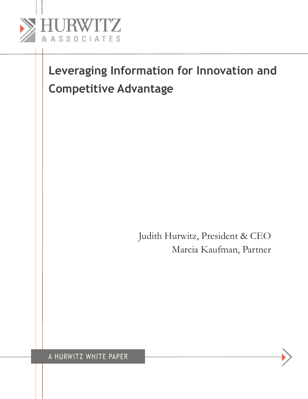

Judith Hurwitz, President & CEO Marcia Kaufman, Partner

A Hurwitz white Paper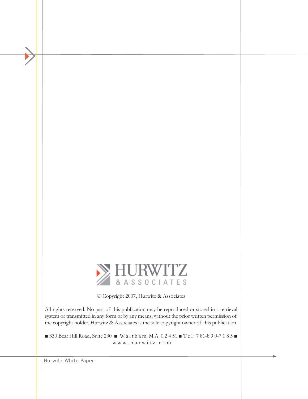

© Copyright 2007, Hurwitz & Associates

All rights reserved. No part of this publication may be reproduced or stored in a retrieval system or transmitted in any form or by any means, without the prior written permission of the copyright holder. Hurwitz & Associates is the sole copyright owner of this publication.

■ 330 Bear Hill Road, Suite 230 ■ W a l t h a m, M A 0 2 4 51 ■ T e l: 7 81-8 9 0-7 1 8 5 ■ w w w . h u r w i t z . c o m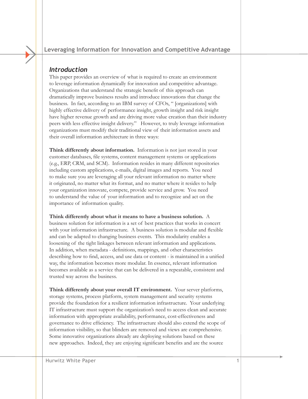## *Introduction*

This paper provides an overview of what is required to create an environment to leverage information dynamically for innovation and competitive advantage. Organizations that understand the strategic benefit of this approach can dramatically improve business results and introduce innovations that change the business. In fact, according to an IBM survey of CFOs, " [organizations] with highly effective delivery of performance insight, growth insight and risk insight have higher revenue growth and are driving more value creation than their industry peers with less effective insight delivery." However, to truly leverage information organizations must modify their traditional view of their information assets and their overall information architecture in three ways:

**Think differently about information.** Information is not just stored in your customer databases, file systems, content management systems or applications (e.g., ERP, CRM, and SCM). Information resides in many different repositories including custom applications, e-mails, digital images and reports. You need to make sure you are leveraging all your relevant information no matter where it originated, no matter what its format, and no matter where it resides to help your organization innovate, compete, provide service and grow. You need to understand the value of your information and to recognize and act on the importance of information quality.

**Think differently about what it means to have a business solution.** A business solution for information is a set of best practices that works in concert with your information infrastructure. A business solution is modular and flexible and can be adapted to changing business events. This modularity enables a loosening of the tight linkages between relevant information and applications. In addition, when metadata - definitions, mappings, and other characteristics describing how to find, access, and use data or content - is maintained in a unified way, the information becomes more modular. In essence, relevant information becomes available as a service that can be delivered in a repeatable, consistent and trusted way across the business.

**Think differently about your overall IT environment.** Your server platforms, storage systems, process platform, system management and security systems provide the foundation for a resilient information infrastructure. Your underlying IT infrastructure must support the organization's need to access clean and accurate information with appropriate availability, performance, cost-effectiveness and governance to drive efficiency. The infrastructure should also extend the scope of information visibility, so that blinders are removed and views are comprehensive. Some innovative organizations already are deploying solutions based on these new approaches. Indeed, they are enjoying significant benefits and are the source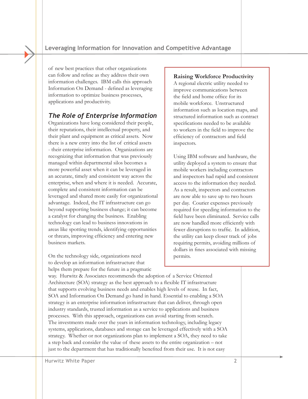of new best practices that other organizations can follow and refine as they address their own information challenges. IBM calls this approach Information On Demand - defined as leveraging information to optimize business processes, applications and productivity.

# *The Role of Enterprise Information*

Organizations have long considered their people, their reputations, their intellectual property, and their plant and equipment as critical assets. Now there is a new entry into the list of critical assets - their enterprise information. Organizations are recognizing that information that was previously managed within departmental silos becomes a more powerful asset when it can be leveraged in an accurate, timely and consistent way across the enterprise, when and where it is needed. Accurate, complete and consistent information can be leveraged and shared more easily for organizational advantage. Indeed, the IT infrastructure can go beyond supporting business change; it can become a catalyst for changing the business. Enabling technology can lead to business innovations in areas like spotting trends, identifying opportunities or threats, improving efficiency and entering new business markets.

On the technology side, organizations need to develop an information infrastructure that helps them prepare for the future in a pragmatic

## **Raising Workforce Productivity**

A regional electric utility needed to improve communications between the field and home office for its mobile workforce. Unstructured information such as location maps, and structured information such as contract specifications needed to be available to workers in the field to improve the efficiency of contractors and field inspectors.

Using IBM software and hardware, the utility deployed a system to ensure that mobile workers including contractors and inspectors had rapid and consistent access to the information they needed. As a result, inspectors and contractors are now able to save up to two hours per day. Courier expenses previously required for speeding information to the field have been eliminated. Service calls are now handled more efficiently with fewer disruptions to traffic. In addition, the utility can keep closer track of jobs requiring permits, avoiding millions of dollars in fines associated with missing permits.

way. Hurwitz & Associates recommends the adoption of a Service Oriented Architecture (SOA) strategy as the best approach to a flexible IT infrastructure that supports evolving business needs and enables high levels of reuse. In fact, SOA and Information On Demand go hand in hand. Essential to enabling a SOA strategy is an enterprise information infrastructure that can deliver, through open industry standards, trusted information as a service to applications and business processes. With this approach, organizations can avoid starting from scratch. The investments made over the years in information technology, including legacy systems, applications, databases and storage can be leveraged effectively with a SOA strategy. Whether or not organizations plan to implement a SOA, they need to take a step back and consider the value of these assets to the entire organization – not just to the department that has traditionally benefited from their use. It is not easy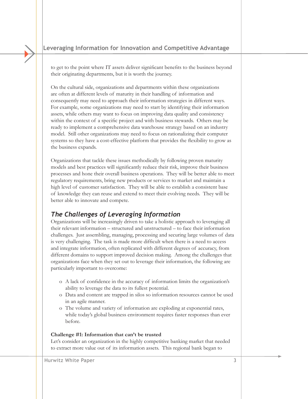to get to the point where IT assets deliver significant benefits to the business beyond their originating departments, but it is worth the journey.

On the cultural side, organizations and departments within these organizations are often at different levels of maturity in their handling of information and consequently may need to approach their information strategies in different ways. For example, some organizations may need to start by identifying their information assets, while others may want to focus on improving data quality and consistency within the context of a specific project and with business stewards. Others may be ready to implement a comprehensive data warehouse strategy based on an industry model. Still other organizations may need to focus on rationalizing their computer systems so they have a cost-effective platform that provides the flexibility to grow as the business expands.

Organizations that tackle these issues methodically by following proven maturity models and best practices will significantly reduce their risk, improve their business processes and hone their overall business operations. They will be better able to meet regulatory requirements, bring new products or services to market and maintain a high level of customer satisfaction. They will be able to establish a consistent base of knowledge they can reuse and extend to meet their evolving needs. They will be better able to innovate and compete.

## *The Challenges of Leveraging Information*

Organizations will be increasingly driven to take a holistic approach to leveraging all their relevant information – structured and unstructured – to face their information challenges. Just assembling, managing, processing and securing large volumes of data is very challenging. The task is made more difficult when there is a need to access and integrate information, often replicated with different degrees of accuracy, from different domains to support improved decision making. Among the challenges that organizations face when they set out to leverage their information, the following are particularly important to overcome:

- o A lack of confidence in the accuracy of information limits the organization's ability to leverage the data to its fullest potential.
- o Data and content are trapped in silos so information resources cannot be used in an agile manner.
- o The volume and variety of information are exploding at exponential rates, while today's global business environment requires faster responses than ever before.

#### **Challenge #1: Information that can't be trusted**

Let's consider an organization in the highly competitive banking market that needed to extract more value out of its information assets. This regional bank began to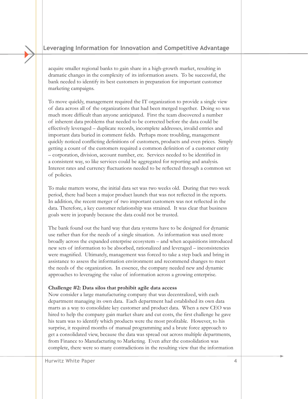acquire smaller regional banks to gain share in a high-growth market, resulting in dramatic changes in the complexity of its information assets. To be successful, the bank needed to identify its best customers in preparation for important customer marketing campaigns.

To move quickly, management required the IT organization to provide a single view of data across all of the organizations that had been merged together. Doing so was much more difficult than anyone anticipated. First the team discovered a number of inherent data problems that needed to be corrected before the data could be effectively leveraged – duplicate records, incomplete addresses, invalid entries and important data buried in comment fields. Perhaps more troubling, management quickly noticed conflicting definitions of customers, products and even prices. Simply getting a count of the customers required a common definition of a customer entity – corporation, division, account number, etc. Services needed to be identified in a consistent way, so like services could be aggregated for reporting and analysis. Interest rates and currency fluctuations needed to be reflected through a common set of policies.

To make matters worse, the initial data set was two weeks old. During that two week period, there had been a major product launch that was not reflected in the reports. In addition, the recent merger of two important customers was not reflected in the data. Therefore, a key customer relationship was strained. It was clear that business goals were in jeopardy because the data could not be trusted.

The bank found out the hard way that data systems have to be designed for dynamic use rather than for the needs of a single situation. As information was used more broadly across the expanded enterprise ecosystem – and when acquisitions introduced new sets of information to be absorbed, rationalized and leveraged – inconsistencies were magnified. Ultimately, management was forced to take a step back and bring in assistance to assess the information environment and recommend changes to meet the needs of the organization. In essence, the company needed new and dynamic approaches to leveraging the value of information across a growing enterprise.

#### **Challenge #2: Data silos that prohibit agile data access**

Now consider a large manufacturing company that was decentralized, with each department managing its own data. Each department had established its own data marts as a way to consolidate key customer and product data. When a new CEO was hired to help the company gain market share and cut costs, the first challenge he gave his team was to identify which products were the most profitable. However, to his surprise, it required months of manual programming and a brute force approach to get a consolidated view, because the data was spread out across multiple departments, from Finance to Manufacturing to Marketing. Even after the consolidation was complete, there were so many contradictions in the resulting view that the information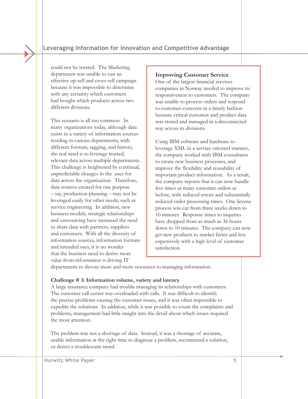could not be trusted. The Marketing department was unable to run an effective up-sell and cross-sell campaign because it was impossible to determine with any certainty which customers had bought which products across two different divisions.

This scenario is all too common. In many organizations today, although data exists in a variety of information sources residing in various departments, with different formats, tagging, and history, the real need is to leverage trusted, relevant data across multiple departments. This challenge is heightened by continual, unpredictable changes in the uses for data across the organization. Therefore, data sources created for one purpose – say, production planning – may not be leveraged easily for other needs, such as service engineering. In addition, new business models, strategic relationships and outsourcing have increased the need to share data with partners, suppliers and customers. With all the diversity of information sources, information formats and intended uses, it is no wonder that the business need to derive more value from information is driving IT

#### **Improving Customer Service**

One of the largest financial services companies in Norway needed to improve its responsiveness to customers. The company was unable to process orders and respond to customer concerns in a timely fashion because critical customer and product data was stored and managed in a disconnected way across its divisions.

Using IBM software and hardware to leverage XML in a service oriented manner, the company worked with IBM consultants to create new business processes, and improve the flexibility and reusability of important product information. As a result, the company reports that it can now handle five times as many customer orders as before, with reduced errors and substantially reduced order processing times. One license process was cut from three weeks down to 10 minutes. Response times to inquiries have dropped from as much as 36 hours down to 10 minutes. The company can now get new products to market faster and less expensively with a high level of customer satisfaction.

departments to devote more and more resources to managing information.

#### **Challenge # 3: Information volume, variety and latency**

A large insurance company had trouble managing its relationships with customers. The customer call center was overloaded with calls. It was difficult to identify the precise problems causing the customer issues, and it was often impossible to expedite the solutions. In addition, while it was possible to count the complaints and problems, management had little insight into the detail about which issues required the most attention.

The problem was not a shortage of data. Instead, it was a shortage of accurate, usable information at the right time to diagnose a problem, recommend a solution, or detect a troublesome trend.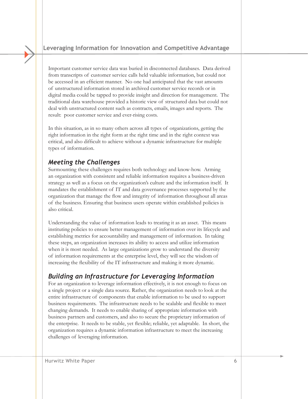Important customer service data was buried in disconnected databases. Data derived from transcripts of customer service calls held valuable information, but could not be accessed in an efficient manner. No one had anticipated that the vast amounts of unstructured information stored in archived customer service records or in digital media could be tapped to provide insight and direction for management. The traditional data warehouse provided a historic view of structured data but could not deal with unstructured content such as contracts, emails, images and reports. The result: poor customer service and ever-rising costs.

In this situation, as in so many others across all types of organizations, getting the right information in the right form at the right time and in the right context was critical, and also difficult to achieve without a dynamic infrastructure for multiple types of information.

## *Meeting the Challenges*

Surmounting these challenges requires both technology and know-how. Arming an organization with consistent and reliable information requires a business-driven strategy as well as a focus on the organization's culture and the information itself. It mandates the establishment of IT and data governance processes supported by the organization that manage the flow and integrity of information throughout all areas of the business. Ensuring that business users operate within established policies is also critical.

Understanding the value of information leads to treating it as an asset. This means instituting policies to ensure better management of information over its lifecycle and establishing metrics for accountability and management of information. In taking these steps, an organization increases its ability to access and utilize information when it is most needed. As large organizations grow to understand the diversity of information requirements at the enterprise level, they will see the wisdom of increasing the flexibility of the IT infrastructure and making it more dynamic.

## *Building an Infrastructure for Leveraging Information*

For an organization to leverage information effectively, it is not enough to focus on a single project or a single data source. Rather, the organization needs to look at the entire infrastructure of components that enable information to be used to support business requirements. The infrastructure needs to be scalable and flexible to meet changing demands. It needs to enable sharing of appropriate information with business partners and customers, and also to secure the proprietary information of the enterprise. It needs to be stable, yet flexible; reliable, yet adaptable. In short, the organization requires a dynamic information infrastructure to meet the increasing challenges of leveraging information.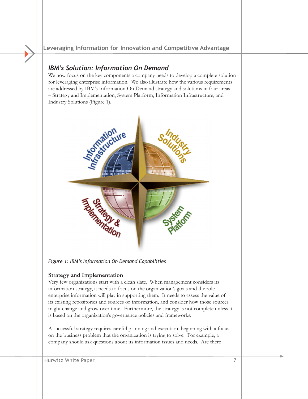## *IBM's Solution: Information On Demand*

We now focus on the key components a company needs to develop a complete solution for leveraging enterprise information. We also illustrate how the various requirements are addressed by IBM's Information On Demand strategy and solutions in four areas – Strategy and Implementation, System Platform, Information Infrastructure, and Industry Solutions (Figure 1).



*Figure 1: IBM's Information On Demand Capabilities* 

## **Strategy and Implementation**

Very few organizations start with a clean slate. When management considers its information strategy, it needs to focus on the organization's goals and the role enterprise information will play in supporting them. It needs to assess the value of its existing repositories and sources of information, and consider how those sources might change and grow over time. Furthermore, the strategy is not complete unless it is based on the organization's governance policies and frameworks.

A successful strategy requires careful planning and execution, beginning with a focus on the business problem that the organization is trying to solve. For example, a company should ask questions about its information issues and needs. Are there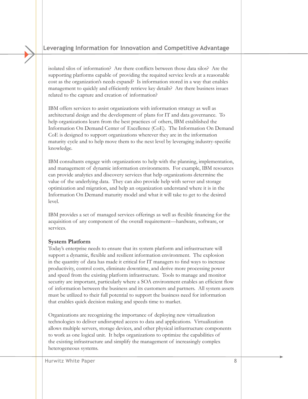isolated silos of information? Are there conflicts between those data silos? Are the supporting platforms capable of providing the required service levels at a reasonable cost as the organization's needs expand? Is information stored in a way that enables management to quickly and efficiently retrieve key details? Are there business issues related to the capture and creation of information?

IBM offers services to assist organizations with information strategy as well as architectural design and the development of plans for IT and data governance. To help organizations learn from the best practices of others, IBM established the Information On Demand Center of Excellence (CoE). The Information On Demand CoE is designed to support organizations wherever they are in the information maturity cycle and to help move them to the next level by leveraging industry-specific knowledge.

IBM consultants engage with organizations to help with the planning, implementation, and management of dynamic information environments. For example, IBM resources can provide analytics and discovery services that help organizations determine the value of the underlying data. They can also provide help with server and storage optimization and migration, and help an organization understand where it is in the Information On Demand maturity model and what it will take to get to the desired level.

IBM provides a set of managed services offerings as well as flexible financing for the acquisition of any component of the overall requirement—hardware, software, or services.

## **System Platform**

Today's enterprise needs to ensure that its system platform and infrastructure will support a dynamic, flexible and resilient information environment. The explosion in the quantity of data has made it critical for IT managers to find ways to increase productivity, control costs, eliminate downtime, and derive more processing power and speed from the existing platform infrastructure. Tools to manage and monitor security are important, particularly where a SOA environment enables an efficient flow of information between the business and its customers and partners. All system assets must be utilized to their full potential to support the business need for information that enables quick decision making and speeds time to market.

Organizations are recognizing the importance of deploying new virtualization technologies to deliver undisrupted access to data and applications. Virtualization allows multiple servers, storage devices, and other physical infrastructure components to work as one logical unit. It helps organizations to optimize the capabilities of the existing infrastructure and simplify the management of increasingly complex heterogeneous systems.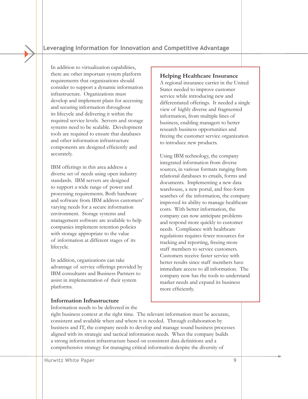In addition to virtualization capabilities, there are other important system platform requirements that organizations should consider to support a dynamic information infrastructure. Organizations must develop and implement plans for accessing and securing information throughout its lifecycle and delivering it within the required service levels. Servers and storage systems need to be scalable. Development tools are required to ensure that databases and other information infrastructure components are designed efficiently and accurately.

IBM offerings in this area address a diverse set of needs using open industry standards. IBM servers are designed to support a wide range of power and processing requirements. Both hardware and software from IBM address customers' varying needs for a secure information environment. Storage systems and management software are available to help companies implement retention policies with storage appropriate to the value of information at different stages of its lifecycle.

In addition, organizations can take advantage of service offerings provided by IBM consultants and Business Partners to assist in implementation of their system platforms.

## **Helping Healthcare Insurance**

A regional insurance carrier in the United States needed to improve customer service while introducing new and differentiated offerings. It needed a single view of highly diverse and fragmented information, from multiple lines of business, enabling managers to better research business opportunities and freeing the customer service organization to introduce new products.

Using IBM technology, the company integrated information from diverse sources, in various formats ranging from relational databases to emails, forms and documents. Implementing a new data warehouse, a new portal, and free-form searches of the information, the company improved its ability to manage healthcare costs. With better information, the company can now anticipate problems and respond more quickly to customer needs. Compliance with healthcare regulations requires fewer resources for tracking and reporting, freeing more staff members to service customers. Customers receive faster service with better results since staff members have immediate access to all information. The company now has the tools to understand market needs and expand its business more efficiently.

#### **Information Infrastructure**

Information needs to be delivered in the

right business context at the right time. The relevant information must be accurate, consistent and available when and where it is needed. Through collaboration by business and IT, the company needs to develop and manage sound business processes aligned with its strategic and tactical information needs. When the company builds a strong information infrastructure based on consistent data definitions and a comprehensive strategy for managing critical information despite the diversity of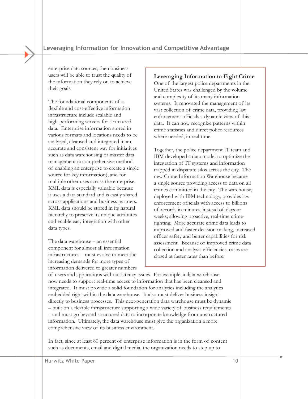enterprise data sources, then business users will be able to trust the quality of the information they rely on to achieve their goals.

The foundational components of a flexible and cost-effective information infrastructure include scalable and high-performing servers for structured data. Enterprise information stored in various formats and locations needs to be analyzed, cleansed and integrated in an accurate and consistent way for initiatives such as data warehousing or master data management (a comprehensive method of enabling an enterprise to create a single source for key information), and for multiple other uses across the enterprise. XML data is especially valuable because it uses a data standard and is easily shared across applications and business partners. XML data should be stored in its natural hierarchy to preserve its unique attributes and enable easy integration with other data types.

The data warehouse – an essential component for almost all information infrastructures – must evolve to meet the increasing demands for more types of information delivered to greater numbers

### **Leveraging Information to Fight Crime**

One of the largest police departments in the United States was challenged by the volume and complexity of its many information systems. It renovated the management of its vast collection of crime data, providing law enforcement officials a dynamic view of this data. It can now recognize patterns within crime statistics and direct police resources where needed, in real-time.

Together, the police department IT team and IBM developed a data model to optimize the integration of IT systems and information trapped in disparate silos across the city. The new Crime Information Warehouse became a single source providing access to data on all crimes committed in the city. The warehouse, deployed with IBM technology, provides law enforcement officials with access to billions of records in minutes, instead of days or weeks; allowing proactive, real-time crimefighting. More accurate crime data leads to improved and faster decision making, increased officer safety and better capabilities for risk assessment. Because of improved crime data collection and analysis efficiencies, cases are closed at faster rates than before.

of users and applications without latency issues. For example, a data warehouse now needs to support real-time access to information that has been cleansed and integrated. It must provide a solid foundation for analytics including the analytics embedded right within the data warehouse. It also must deliver business insight directly to business processes. This next-generation data warehouse must be dynamic – built on a flexible infrastructure supporting a wide variety of business requirements – and must go beyond structured data to incorporate knowledge from unstructured information. Ultimately, the data warehouse must give the organization a more comprehensive view of its business environment.

In fact, since at least 80 percent of enterprise information is in the form of content such as documents, email and digital media, the organization needs to step up to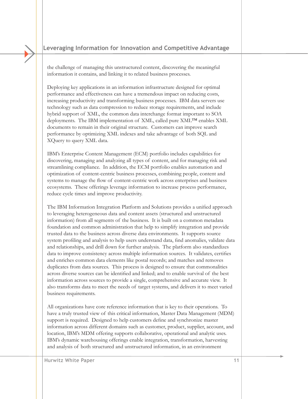the challenge of managing this unstructured content, discovering the meaningful information it contains, and linking it to related business processes.

Deploying key applications in an information infrastructure designed for optimal performance and effectiveness can have a tremendous impact on reducing costs, increasing productivity and transforming business processes. IBM data servers use technology such as data compression to reduce storage requirements, and include hybrid support of XML, the common data interchange format important to SOA deployments. The IBM implementation of XML, called pure XML™ enables XML documents to remain in their original structure. Customers can improve search performance by optimizing XML indexes and take advantage of both SQL and XQuery to query XML data.

IBM's Enterprise Content Management (ECM) portfolio includes capabilities for discovering, managing and analyzing all types of content, and for managing risk and streamlining compliance. In addition, the ECM portfolio enables automation and optimization of content-centric business processes, combining people, content and systems to manage the flow of content-centric work across enterprises and business ecosystems. These offerings leverage information to increase process performance, reduce cycle times and improve productivity.

The IBM Information Integration Platform and Solutions provides a unified approach to leveraging heterogeneous data and content assets (structured and unstructured information) from all segments of the business. It is built on a common metadata foundation and common administration that help to simplify integration and provide trusted data to the business across diverse data environments. It supports source system profiling and analysis to help users understand data, find anomalies, validate data and relationships, and drill down for further analysis. The platform also standardizes data to improve consistency across multiple information sources. It validates, certifies and enriches common data elements like postal records; and matches and removes duplicates from data sources. This process is designed to ensure that commonalities across diverse sources can be identified and linked; and to enable survival of the best information across sources to provide a single, comprehensive and accurate view. It also transforms data to meet the needs of target systems, and delivers it to meet varied business requirements.

All organizations have core reference information that is key to their operations. To have a truly trusted view of this critical information, Master Data Management (MDM) support is required. Designed to help customers define and synchronize master information across different domains such as customer, product, supplier, account, and location, IBM's MDM offering supports collaborative, operational and analytic uses. IBM's dynamic warehousing offerings enable integration, transformation, harvesting and analysis of both structured and unstructured information, in an environment

Hurwitz White Paper 11 and 2008 11 and 2008 12:00 11 and 2008 12:00 11 and 2008 12:00 11 and 2008 12:00 11 and 2008 12:00 12:00 12:00 12:00 12:00 12:00 12:00 12:00 12:00 12:00 12:00 12:00 12:00 12:00 12:00 12:00 12:00 12:0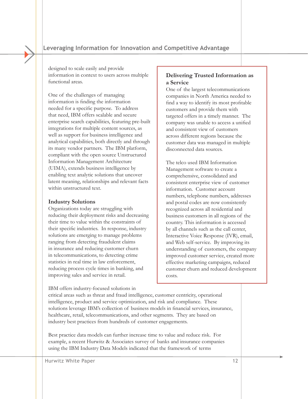designed to scale easily and provide information in context to users across multiple functional areas.

One of the challenges of managing information is finding the information needed for a specific purpose. To address that need, IBM offers scalable and secure enterprise search capabilities, featuring pre-built integrations for multiple content sources, as well as support for business intelligence and analytical capabilities, both directly and through its many vendor partners. The IBM platform, compliant with the open source Unstructured Information Management Architecture (UIMA), extends business intelligence by enabling text analytic solutions that uncover latent meaning, relationships and relevant facts within unstructured text.

#### **Industry Solutions**

Organizations today are struggling with reducing their deployment risks and decreasing their time to value within the constraints of their specific industries. In response, industry solutions are emerging to manage problems ranging from detecting fraudulent claims in insurance and reducing customer churn in telecommunications, to detecting crime statistics in real time in law enforcement, reducing process cycle times in banking, and improving sales and service in retail.

IBM offers industry-focused solutions in

## **Delivering Trusted Information as a Service**

One of the largest telecommunications companies in North America needed to find a way to identify its most profitable customers and provide them with targeted offers in a timely manner. The company was unable to access a unified and consistent view of customers across different regions because the customer data was managed in multiple disconnected data sources.

The telco used IBM Information Management software to create a comprehensive, consolidated and consistent enterprise view of customer information. Customer account numbers, telephone numbers, addresses and postal codes are now consistently recognized across all residential and business customers in all regions of the country. This information is accessed by all channels such as the call center, Interactive Voice Response (IVR), email, and Web self-service. By improving its understanding of customers, the company improved customer service, created more effective marketing campaigns, reduced customer churn and reduced development costs.

critical areas such as threat and fraud intelligence, customer centricity, operational intelligence, product and service optimization, and risk and compliance. These solutions leverage IBM's collection of business models in financial services, insurance, healthcare, retail, telecommunications, and other segments. They are based on industry best practices from hundreds of customer engagements.

Best practice data models can further increase time to value and reduce risk. For example, a recent Hurwitz & Associates survey of banks and insurance companies using the IBM Industry Data Models indicated that the framework of terms

Hurwitz White Paper 2012 12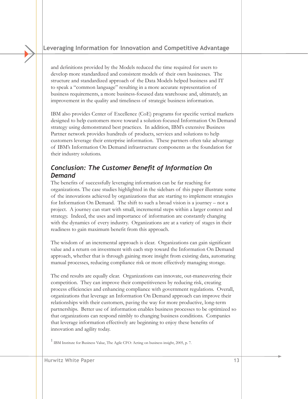and definitions provided by the Models reduced the time required for users to develop more standardized and consistent models of their own businesses. The structure and standardized approach of the Data Models helped business and IT to speak a "common language" resulting in a more accurate representation of business requirements, a more business-focused data warehouse and, ultimately, an improvement in the quality and timeliness of strategic business information.

IBM also provides Center of Excellence (CoE) programs for specific vertical markets designed to help customers move toward a solution-focused Information On Demand strategy using demonstrated best practices. In addition, IBM's extensive Business Partner network provides hundreds of products, services and solutions to help customers leverage their enterprise information. These partners often take advantage of IBM's Information On Demand infrastructure components as the foundation for their industry solutions.

# *Conclusion: The Customer Benefit of Information On Demand*

The benefits of successfully leveraging information can be far reaching for organizations. The case studies highlighted in the sidebars of this paper illustrate some of the innovations achieved by organizations that are starting to implement strategies for Information On Demand. The shift to such a broad vision is a journey – not a project. A journey can start with small, incremental steps within a larger context and strategy. Indeed, the uses and importance of information are constantly changing with the dynamics of every industry. Organizations are at a variety of stages in their readiness to gain maximum benefit from this approach.

The wisdom of an incremental approach is clear. Organizations can gain significant value and a return on investment with each step toward the Information On Demand approach, whether that is through gaining more insight from existing data, automating manual processes, reducing compliance risk or more effectively managing storage.

The end results are equally clear. Organizations can innovate, out-maneuvering their competition. They can improve their competitiveness by reducing risk, creating process efficiencies and enhancing compliance with government regulations. Overall, organizations that leverage an Information On Demand approach can improve their relationships with their customers, paving the way for more productive, long-term partnerships. Better use of information enables business processes to be optimized so that organizations can respond nimbly to changing business conditions. Companies that leverage information effectively are beginning to enjoy these benefits of innovation and agility today.

1 IBM Institute for Business Value, The Agile CFO: Acting on business insight, 2005, p. 7.